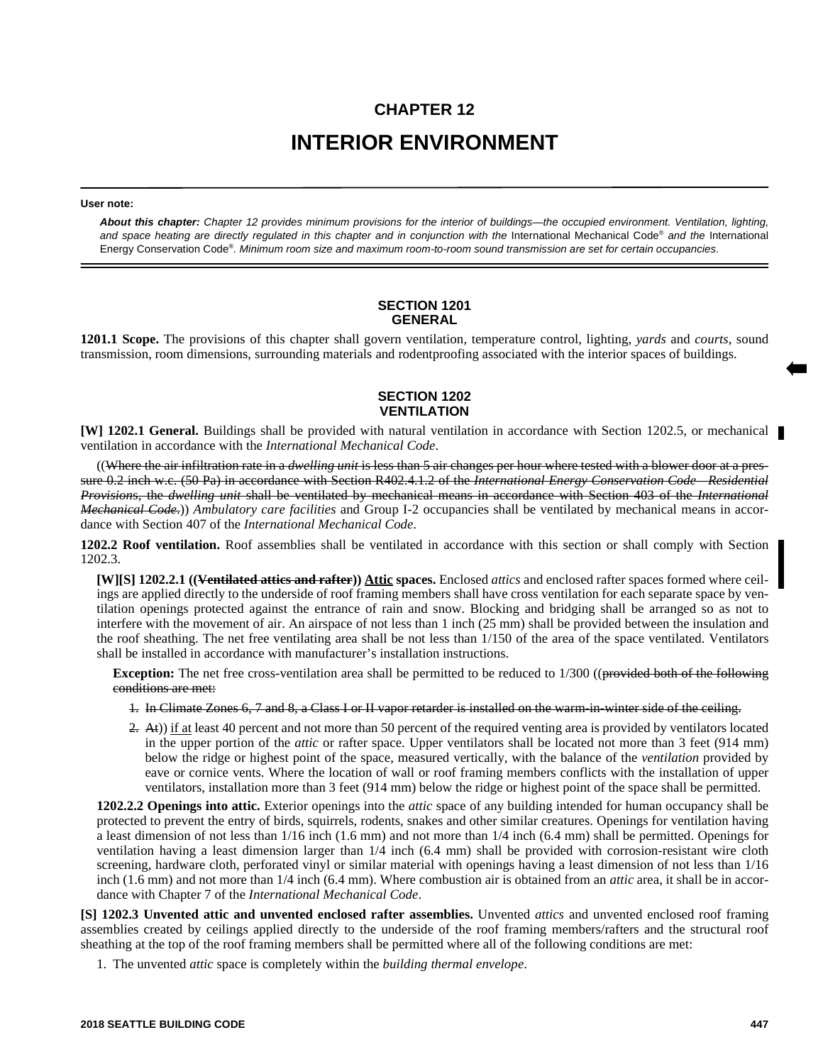# **CHAPTER 12 INTERIOR ENVIRONMENT**

#### **User note:**

*About this chapter: Chapter 12 provides minimum provisions for the interior of buildings—the occupied environment. Ventilation, lighting,* and space heating are directly regulated in this chapter and in conjunction with the International Mechanical Code® and the International Energy Conservation Code® *. Minimum room size and maximum room-to-room sound transmission are set for certain occupancies.*

#### **SECTION 1201 GENERAL**

**1201.1 Scope.** The provisions of this chapter shall govern ventilation, temperature control, lighting, *yards* and *courts*, sound transmission, room dimensions, surrounding materials and rodentproofing associated with the interior spaces of buildings.

## **SECTION 1202 VENTILATION**

**[W] 1202.1 General.** Buildings shall be provided with natural ventilation in accordance with Section 1202.5, or mechanical ventilation in accordance with the *International Mechanical Code*.

((Where the air infiltration rate in a *dwelling unit* is less than 5 air changes per hour where tested with a blower door at a pressure 0.2 inch w.c. (50 Pa) in accordance with Section R402.4.1.2 of the *International Energy Conservation Code—Residential Provision*s, the *dwelling unit* shall be ventilated by mechanical means in accordance with Section 403 of the *International Mechanical Code*.)) *Ambulatory care facilities* and Group I-2 occupancies shall be ventilated by mechanical means in accordance with Section 407 of the *International Mechanical Code*.

**1202.2 Roof ventilation.** Roof assemblies shall be ventilated in accordance with this section or shall comply with Section 1202.3.

**[W][S] 1202.2.1 ((Ventilated attics and rafter)) Attic spaces.** Enclosed *attics* and enclosed rafter spaces formed where ceilings are applied directly to the underside of roof framing members shall have cross ventilation for each separate space by ventilation openings protected against the entrance of rain and snow. Blocking and bridging shall be arranged so as not to interfere with the movement of air. An airspace of not less than 1 inch (25 mm) shall be provided between the insulation and the roof sheathing. The net free ventilating area shall be not less than 1/150 of the area of the space ventilated. Ventilators shall be installed in accordance with manufacturer's installation instructions.

**Exception:** The net free cross-ventilation area shall be permitted to be reduced to 1/300 ((provided both of the following conditions are met:

1. In Climate Zones 6, 7 and 8, a Class I or II vapor retarder is installed on the warm-in-winter side of the ceiling.

 $(2, \text{At})$ ) if at least 40 percent and not more than 50 percent of the required venting area is provided by ventilators located in the upper portion of the *attic* or rafter space. Upper ventilators shall be located not more than 3 feet (914 mm) below the ridge or highest point of the space, measured vertically, with the balance of the *ventilation* provided by eave or cornice vents. Where the location of wall or roof framing members conflicts with the installation of upper ventilators, installation more than 3 feet (914 mm) below the ridge or highest point of the space shall be permitted.

**1202.2.2 Openings into attic.** Exterior openings into the *attic* space of any building intended for human occupancy shall be protected to prevent the entry of birds, squirrels, rodents, snakes and other similar creatures. Openings for ventilation having a least dimension of not less than 1/16 inch (1.6 mm) and not more than 1/4 inch (6.4 mm) shall be permitted. Openings for ventilation having a least dimension larger than 1/4 inch (6.4 mm) shall be provided with corrosion-resistant wire cloth screening, hardware cloth, perforated vinyl or similar material with openings having a least dimension of not less than 1/16 inch (1.6 mm) and not more than  $1/4$  inch (6.4 mm). Where combustion air is obtained from an *attic* area, it shall be in accordance with Chapter 7 of the *International Mechanical Code*.

**[S] 1202.3 Unvented attic and unvented enclosed rafter assemblies.** Unvented *attics* and unvented enclosed roof framing assemblies created by ceilings applied directly to the underside of the roof framing members/rafters and the structural roof sheathing at the top of the roof framing members shall be permitted where all of the following conditions are met:

1. The unvented *attic* space is completely within the *building thermal envelope*.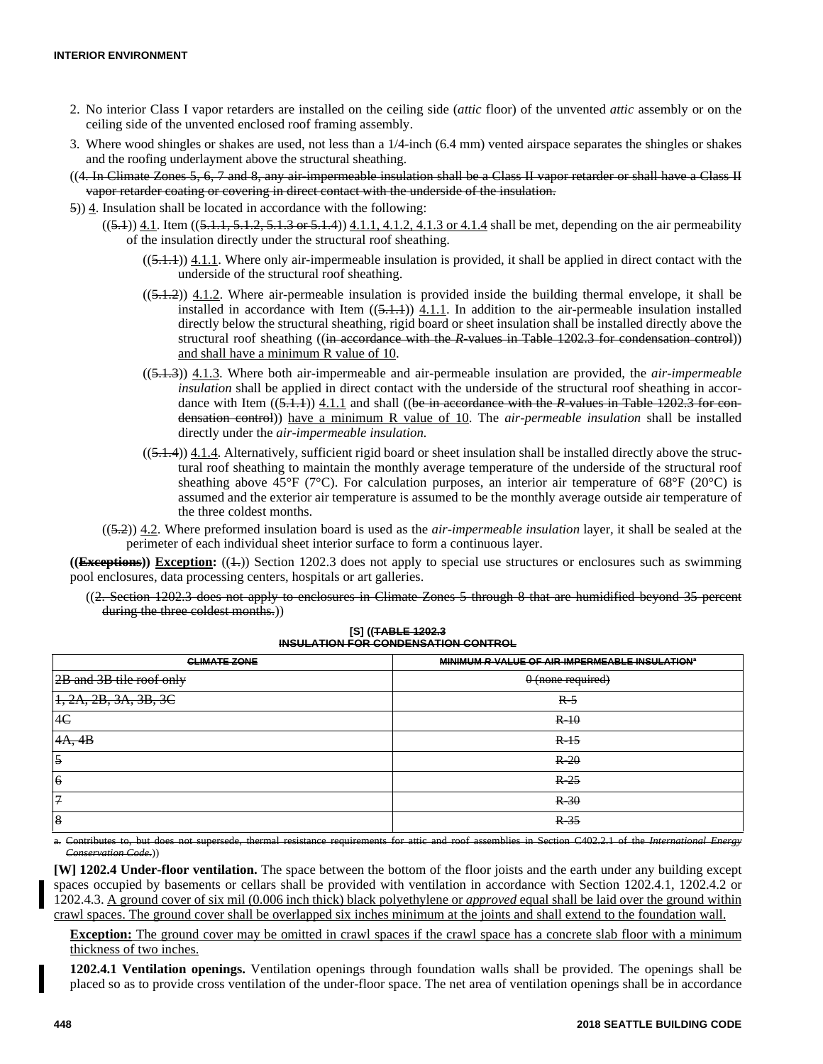- 2. No interior Class I vapor retarders are installed on the ceiling side (*attic* floor) of the unvented *attic* assembly or on the ceiling side of the unvented enclosed roof framing assembly.
- 3. Where wood shingles or shakes are used, not less than a 1/4-inch (6.4 mm) vented airspace separates the shingles or shakes and the roofing underlayment above the structural sheathing.
- ((4. In Climate Zones 5, 6, 7 and 8, any air-impermeable insulation shall be a Class II vapor retarder or shall have a Class II vapor retarder coating or covering in direct contact with the underside of the insulation.
- 5)) 4. Insulation shall be located in accordance with the following:
	- $((5.1))$  4.1. Item  $((5.1.1, 5.1.2, 5.1.3, 5.1.3)$  or  $(5.1.1, 4.1.2, 4.1.3)$  or 4.1.4 shall be met, depending on the air permeability of the insulation directly under the structural roof sheathing.
		- $((5.1.1))$  4.1.1. Where only air-impermeable insulation is provided, it shall be applied in direct contact with the underside of the structural roof sheathing.
		- $((5.1.2))$  4.1.2. Where air-permeable insulation is provided inside the building thermal envelope, it shall be installed in accordance with Item  $((5.1.1))$  4.1.1. In addition to the air-permeable insulation installed directly below the structural sheathing, rigid board or sheet insulation shall be installed directly above the structural roof sheathing ((in accordance with the *R*-values in Table 1202.3 for condensation control)) and shall have a minimum R value of 10.
		- ((5.1.3)) 4.1.3. Where both air-impermeable and air-permeable insulation are provided, the *air-impermeable insulation* shall be applied in direct contact with the underside of the structural roof sheathing in accordance with Item ((5.1.1)) 4.1.1 and shall ((be in accordance with the *R*-values in Table 1202.3 for condensation control)) have a minimum R value of 10. The *air-permeable insulation* shall be installed directly under the *air-impermeable insulation.*
		- $((5.1.4))$  4.1.4. Alternatively, sufficient rigid board or sheet insulation shall be installed directly above the structural roof sheathing to maintain the monthly average temperature of the underside of the structural roof sheathing above 45°F (7°C). For calculation purposes, an interior air temperature of 68°F (20°C) is assumed and the exterior air temperature is assumed to be the monthly average outside air temperature of the three coldest months.
	- ((5.2)) 4.2. Where preformed insulation board is used as the *air-impermeable insulation* layer*,* it shall be sealed at the perimeter of each individual sheet interior surface to form a continuous layer.

((**Exceptions**)) **Exception:** (( $\pm$ )) Section 1202.3 does not apply to special use structures or enclosures such as swimming pool enclosures, data processing centers, hospitals or art galleries.

((2. Section 1202.3 does not apply to enclosures in Climate Zones 5 through 8 that are humidified beyond 35 percent during the three coldest months.))

| <b>CLIMATE ZONE</b>                  | MINIMUM R VALUE OF AIR-IMPERMEABLE INSULATION® |
|--------------------------------------|------------------------------------------------|
| 2B and 3B tile roof only             | $0$ (none required)                            |
| $\left[1, 2A, 2B, 3A, 3B, 3C\right]$ | $R-5$                                          |
| 4C                                   | $R-10$                                         |
| 4A, 4B                               | $R-15$                                         |
| $\overline{5}$                       | $R-20$                                         |
| $\boldsymbol{6}$                     | $R-25$                                         |
| 7                                    | $R-30$                                         |
| 8                                    | $R-35$                                         |

#### **[S] ((TABLE 1202.3 INSULATION FOR CONDENSATION CONTROL**

a. Contributes to, but does not supersede, thermal resistance requirements for attic and roof assemblies in Section C402.2.1 of the *International Energy Conservation Code*.))

**[W] 1202.4 Under-floor ventilation.** The space between the bottom of the floor joists and the earth under any building except spaces occupied by basements or cellars shall be provided with ventilation in accordance with Section 1202.4.1, 1202.4.2 or 1202.4.3. A ground cover of six mil (0.006 inch thick) black polyethylene or *approved* equal shall be laid over the ground within crawl spaces. The ground cover shall be overlapped six inches minimum at the joints and shall extend to the foundation wall.

**Exception:** The ground cover may be omitted in crawl spaces if the crawl space has a concrete slab floor with a minimum thickness of two inches.

**1202.4.1 Ventilation openings.** Ventilation openings through foundation walls shall be provided. The openings shall be placed so as to provide cross ventilation of the under-floor space. The net area of ventilation openings shall be in accordance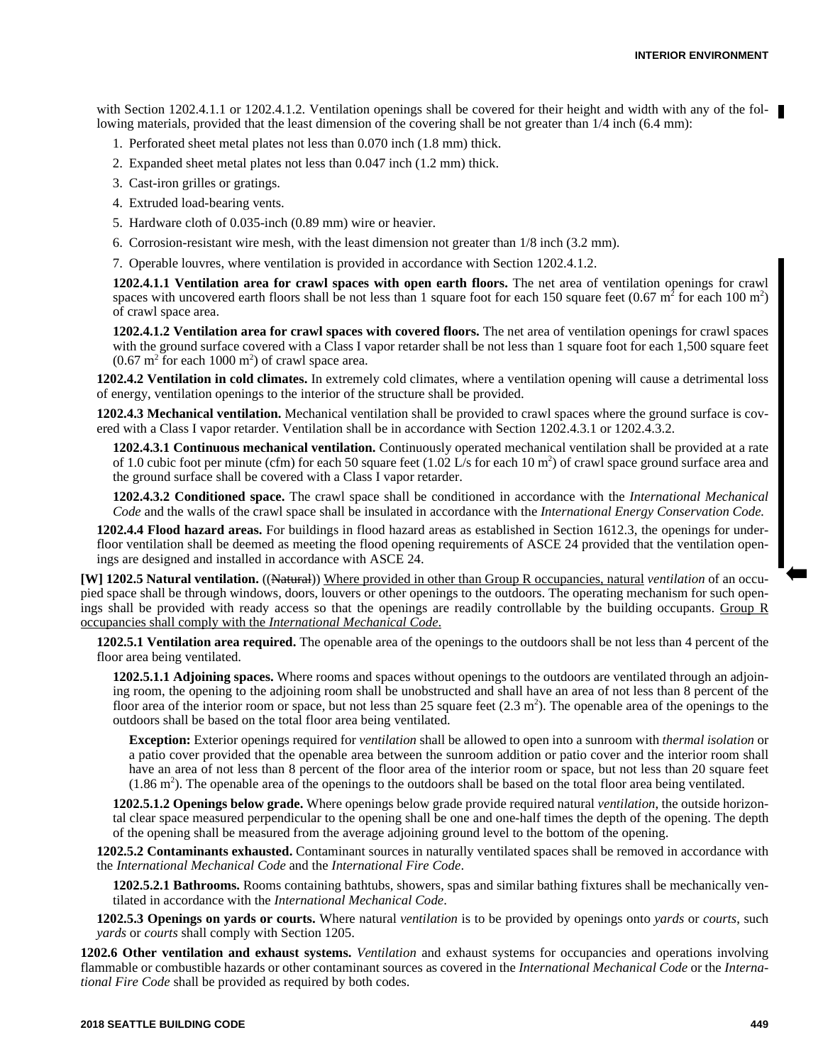with Section 1202.4.1.1 or 1202.4.1.2. Ventilation openings shall be covered for their height and width with any of the following materials, provided that the least dimension of the covering shall be not greater than  $1/4$  inch (6.4 mm):

- 1. Perforated sheet metal plates not less than 0.070 inch (1.8 mm) thick.
- 2. Expanded sheet metal plates not less than 0.047 inch (1.2 mm) thick.
- 3. Cast-iron grilles or gratings.
- 4. Extruded load-bearing vents.
- 5. Hardware cloth of 0.035-inch (0.89 mm) wire or heavier.
- 6. Corrosion-resistant wire mesh, with the least dimension not greater than 1/8 inch (3.2 mm).

7. Operable louvres, where ventilation is provided in accordance with Section 1202.4.1.2.

**1202.4.1.1 Ventilation area for crawl spaces with open earth floors.** The net area of ventilation openings for crawl spaces with uncovered earth floors shall be not less than 1 square foot for each 150 square feet  $(0.67 \text{ m}^2 \text{ for each } 100 \text{ m}^2)$ of crawl space area.

**1202.4.1.2 Ventilation area for crawl spaces with covered floors.** The net area of ventilation openings for crawl spaces with the ground surface covered with a Class I vapor retarder shall be not less than 1 square foot for each 1,500 square feet  $(0.67 \text{ m}^2 \text{ for each } 1000 \text{ m}^2)$  of crawl space area.

**1202.4.2 Ventilation in cold climates.** In extremely cold climates, where a ventilation opening will cause a detrimental loss of energy, ventilation openings to the interior of the structure shall be provided.

**1202.4.3 Mechanical ventilation.** Mechanical ventilation shall be provided to crawl spaces where the ground surface is covered with a Class I vapor retarder. Ventilation shall be in accordance with Section 1202.4.3.1 or 1202.4.3.2.

**1202.4.3.1 Continuous mechanical ventilation.** Continuously operated mechanical ventilation shall be provided at a rate of 1.0 cubic foot per minute (cfm) for each 50 square feet  $(1.02 \text{ L/s}$  for each 10 m<sup>2</sup>) of crawl space ground surface area and the ground surface shall be covered with a Class I vapor retarder.

**1202.4.3.2 Conditioned space.** The crawl space shall be conditioned in accordance with the *International Mechanical Code* and the walls of the crawl space shall be insulated in accordance with the *International Energy Conservation Code.*

**1202.4.4 Flood hazard areas.** For buildings in flood hazard areas as established in Section 1612.3, the openings for underfloor ventilation shall be deemed as meeting the flood opening requirements of ASCE 24 provided that the ventilation openings are designed and installed in accordance with ASCE 24.

**[W] 1202.5 Natural ventilation.** ((Natural)) Where provided in other than Group R occupancies, natural *ventilation* of an occupied space shall be through windows, doors, louvers or other openings to the outdoors. The operating mechanism for such openings shall be provided with ready access so that the openings are readily controllable by the building occupants. Group R occupancies shall comply with the *International Mechanical Code*.

**1202.5.1 Ventilation area required.** The openable area of the openings to the outdoors shall be not less than 4 percent of the floor area being ventilated.

**1202.5.1.1 Adjoining spaces.** Where rooms and spaces without openings to the outdoors are ventilated through an adjoining room, the opening to the adjoining room shall be unobstructed and shall have an area of not less than 8 percent of the floor area of the interior room or space, but not less than 25 square feet  $(2.3 \text{ m}^2)$ . The openable area of the openings to the outdoors shall be based on the total floor area being ventilated.

**Exception:** Exterior openings required for *ventilation* shall be allowed to open into a sunroom with *thermal isolation* or a patio cover provided that the openable area between the sunroom addition or patio cover and the interior room shall have an area of not less than 8 percent of the floor area of the interior room or space, but not less than 20 square feet  $(1.86 \text{ m}^2)$ . The openable area of the openings to the outdoors shall be based on the total floor area being ventilated.

**1202.5.1.2 Openings below grade.** Where openings below grade provide required natural *ventilation*, the outside horizontal clear space measured perpendicular to the opening shall be one and one-half times the depth of the opening. The depth of the opening shall be measured from the average adjoining ground level to the bottom of the opening.

**1202.5.2 Contaminants exhausted.** Contaminant sources in naturally ventilated spaces shall be removed in accordance with the *International Mechanical Code* and the *International Fire Code*.

**1202.5.2.1 Bathrooms.** Rooms containing bathtubs, showers, spas and similar bathing fixtures shall be mechanically ventilated in accordance with the *International Mechanical Code*.

**1202.5.3 Openings on yards or courts.** Where natural *ventilation* is to be provided by openings onto *yards* or *courts*, such *yards* or *courts* shall comply with Section 1205.

**1202.6 Other ventilation and exhaust systems.** *Ventilation* and exhaust systems for occupancies and operations involving flammable or combustible hazards or other contaminant sources as covered in the *International Mechanical Code* or the *International Fire Code* shall be provided as required by both codes.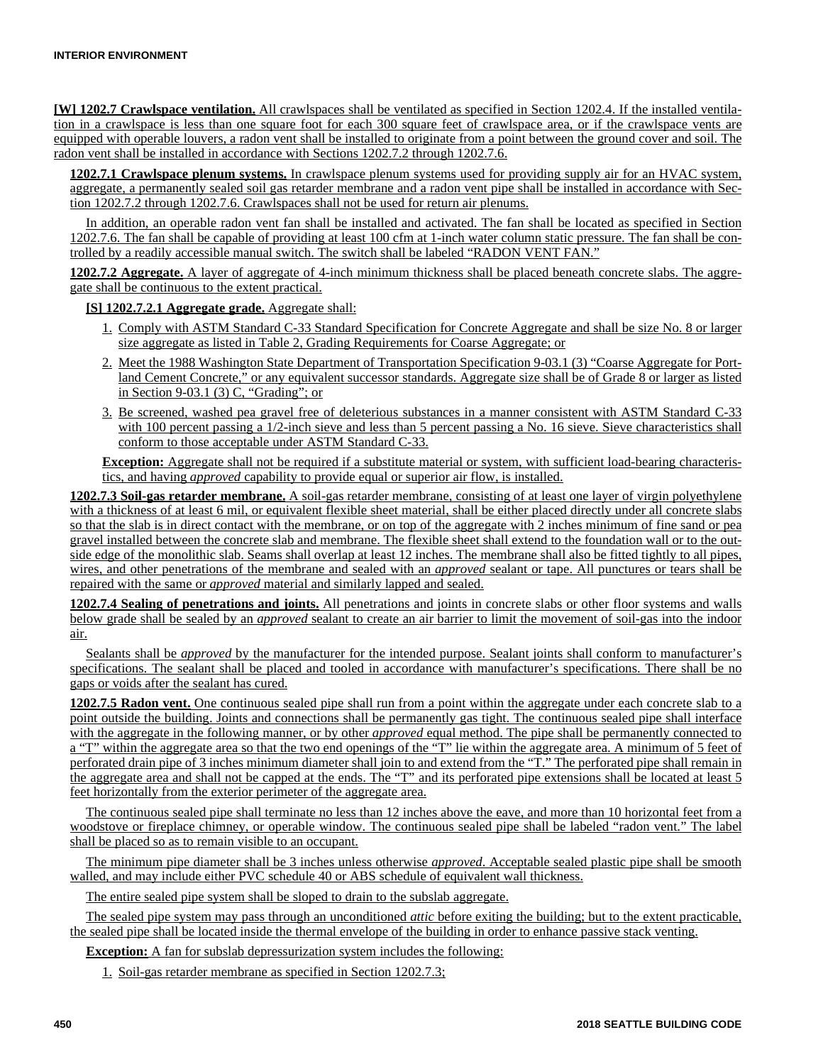**[W] 1202.7 Crawlspace ventilation.** All crawlspaces shall be ventilated as specified in Section 1202.4. If the installed ventilation in a crawlspace is less than one square foot for each 300 square feet of crawlspace area, or if the crawlspace vents are equipped with operable louvers, a radon vent shall be installed to originate from a point between the ground cover and soil. The radon vent shall be installed in accordance with Sections 1202.7.2 through 1202.7.6.

**1202.7.1 Crawlspace plenum systems.** In crawlspace plenum systems used for providing supply air for an HVAC system, aggregate, a permanently sealed soil gas retarder membrane and a radon vent pipe shall be installed in accordance with Section 1202.7.2 through 1202.7.6. Crawlspaces shall not be used for return air plenums.

In addition, an operable radon vent fan shall be installed and activated. The fan shall be located as specified in Section 1202.7.6. The fan shall be capable of providing at least 100 cfm at 1-inch water column static pressure. The fan shall be controlled by a readily accessible manual switch. The switch shall be labeled "RADON VENT FAN."

**1202.7.2 Aggregate.** A layer of aggregate of 4-inch minimum thickness shall be placed beneath concrete slabs. The aggregate shall be continuous to the extent practical.

**[S] 1202.7.2.1 Aggregate grade.** Aggregate shall:

- 1. Comply with ASTM Standard C-33 Standard Specification for Concrete Aggregate and shall be size No. 8 or larger size aggregate as listed in Table 2, Grading Requirements for Coarse Aggregate; or
- 2. Meet the 1988 Washington State Department of Transportation Specification 9-03.1 (3) "Coarse Aggregate for Portland Cement Concrete," or any equivalent successor standards. Aggregate size shall be of Grade 8 or larger as listed in Section 9-03.1 (3) C, "Grading"; or
- 3. Be screened, washed pea gravel free of deleterious substances in a manner consistent with ASTM Standard C-33 with 100 percent passing a 1/2-inch sieve and less than 5 percent passing a No. 16 sieve. Sieve characteristics shall conform to those acceptable under ASTM Standard C-33.

**Exception:** Aggregate shall not be required if a substitute material or system, with sufficient load-bearing characteristics, and having *approved* capability to provide equal or superior air flow, is installed.

**1202.7.3 Soil-gas retarder membrane.** A soil-gas retarder membrane, consisting of at least one layer of virgin polyethylene with a thickness of at least 6 mil, or equivalent flexible sheet material, shall be either placed directly under all concrete slabs so that the slab is in direct contact with the membrane, or on top of the aggregate with 2 inches minimum of fine sand or pea gravel installed between the concrete slab and membrane. The flexible sheet shall extend to the foundation wall or to the outside edge of the monolithic slab. Seams shall overlap at least 12 inches. The membrane shall also be fitted tightly to all pipes, wires, and other penetrations of the membrane and sealed with an *approved* sealant or tape. All punctures or tears shall be repaired with the same or *approved* material and similarly lapped and sealed.

**1202.7.4 Sealing of penetrations and joints.** All penetrations and joints in concrete slabs or other floor systems and walls below grade shall be sealed by an *approved* sealant to create an air barrier to limit the movement of soil-gas into the indoor air.

Sealants shall be *approved* by the manufacturer for the intended purpose. Sealant joints shall conform to manufacturer's specifications. The sealant shall be placed and tooled in accordance with manufacturer's specifications. There shall be no gaps or voids after the sealant has cured.

**1202.7.5 Radon vent.** One continuous sealed pipe shall run from a point within the aggregate under each concrete slab to a point outside the building. Joints and connections shall be permanently gas tight. The continuous sealed pipe shall interface with the aggregate in the following manner, or by other *approved* equal method. The pipe shall be permanently connected to a "T" within the aggregate area so that the two end openings of the "T" lie within the aggregate area. A minimum of 5 feet of perforated drain pipe of 3 inches minimum diameter shall join to and extend from the "T." The perforated pipe shall remain in the aggregate area and shall not be capped at the ends. The "T" and its perforated pipe extensions shall be located at least 5 feet horizontally from the exterior perimeter of the aggregate area.

The continuous sealed pipe shall terminate no less than 12 inches above the eave, and more than 10 horizontal feet from a woodstove or fireplace chimney, or operable window. The continuous sealed pipe shall be labeled "radon vent." The label shall be placed so as to remain visible to an occupant.

The minimum pipe diameter shall be 3 inches unless otherwise *approved*. Acceptable sealed plastic pipe shall be smooth walled, and may include either PVC schedule 40 or ABS schedule of equivalent wall thickness.

The entire sealed pipe system shall be sloped to drain to the subslab aggregate.

The sealed pipe system may pass through an unconditioned *attic* before exiting the building; but to the extent practicable, the sealed pipe shall be located inside the thermal envelope of the building in order to enhance passive stack venting.

**Exception:** A fan for subslab depressurization system includes the following:

1. Soil-gas retarder membrane as specified in Section 1202.7.3;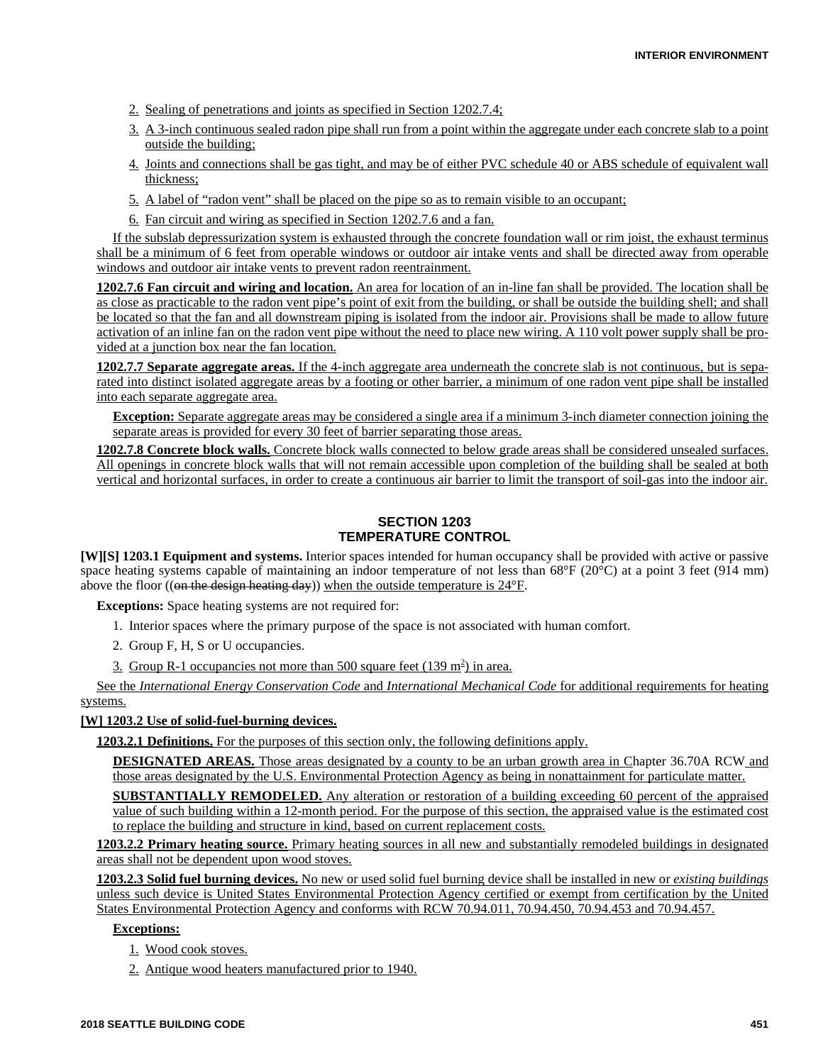- 2. Sealing of penetrations and joints as specified in Section 1202.7.4;
- 3. A 3-inch continuous sealed radon pipe shall run from a point within the aggregate under each concrete slab to a point outside the building;
- 4. Joints and connections shall be gas tight, and may be of either PVC schedule 40 or ABS schedule of equivalent wall thickness;
- 5. A label of "radon vent" shall be placed on the pipe so as to remain visible to an occupant;
- 6. Fan circuit and wiring as specified in Section 1202.7.6 and a fan.

If the subslab depressurization system is exhausted through the concrete foundation wall or rim joist, the exhaust terminus shall be a minimum of 6 feet from operable windows or outdoor air intake vents and shall be directed away from operable windows and outdoor air intake vents to prevent radon reentrainment.

**1202.7.6 Fan circuit and wiring and location.** An area for location of an in-line fan shall be provided. The location shall be as close as practicable to the radon vent pipe's point of exit from the building, or shall be outside the building shell; and shall be located so that the fan and all downstream piping is isolated from the indoor air. Provisions shall be made to allow future activation of an inline fan on the radon vent pipe without the need to place new wiring. A 110 volt power supply shall be provided at a junction box near the fan location.

**1202.7.7 Separate aggregate areas.** If the 4-inch aggregate area underneath the concrete slab is not continuous, but is separated into distinct isolated aggregate areas by a footing or other barrier, a minimum of one radon vent pipe shall be installed into each separate aggregate area.

**Exception:** Separate aggregate areas may be considered a single area if a minimum 3-inch diameter connection joining the separate areas is provided for every 30 feet of barrier separating those areas.

**1202.7.8 Concrete block walls.** Concrete block walls connected to below grade areas shall be considered unsealed surfaces. All openings in concrete block walls that will not remain accessible upon completion of the building shall be sealed at both vertical and horizontal surfaces, in order to create a continuous air barrier to limit the transport of soil-gas into the indoor air.

## **SECTION 1203 TEMPERATURE CONTROL**

**[W][S] 1203.1 Equipment and systems.** Interior spaces intended for human occupancy shall be provided with active or passive space heating systems capable of maintaining an indoor temperature of not less than  $68^{\circ}F(20^{\circ}C)$  at a point 3 feet (914 mm) above the floor ((on the design heating day)) when the outside temperature is  $24^{\circ}$ F.

**Exceptions:** Space heating systems are not required for:

- 1. Interior spaces where the primary purpose of the space is not associated with human comfort.
- 2. Group F, H, S or U occupancies.
- 3. Group R-1 occupancies not more than 500 square feet  $(139 \text{ m}^2)$  in area.

See the *International Energy Conservation Code* and *International Mechanical Code* for additional requirements for heating systems.

#### **[W] 1203.2 Use of solid-fuel-burning devices.**

**1203.2.1 Definitions.** For the purposes of this section only, the following definitions apply.

**DESIGNATED AREAS.** Those areas designated by a county to be an urban growth area in Chapter 36.70A RCW and those areas designated by the U.S. Environmental Protection Agency as being in nonattainment for particulate matter.

**SUBSTANTIALLY REMODELED.** Any alteration or restoration of a building exceeding 60 percent of the appraised value of such building within a 12-month period. For the purpose of this section, the appraised value is the estimated cost to replace the building and structure in kind, based on current replacement costs.

**1203.2.2 Primary heating source.** Primary heating sources in all new and substantially remodeled buildings in designated areas shall not be dependent upon wood stoves.

**1203.2.3 Solid fuel burning devices.** No new or used solid fuel burning device shall be installed in new or *existing buildings* unless such device is United States Environmental Protection Agency certified or exempt from certification by the United States Environmental Protection Agency and conforms with RCW 70.94.011, 70.94.450, 70.94.453 and 70.94.457.

## **Exceptions:**

- 1. Wood cook stoves.
- 2. Antique wood heaters manufactured prior to 1940.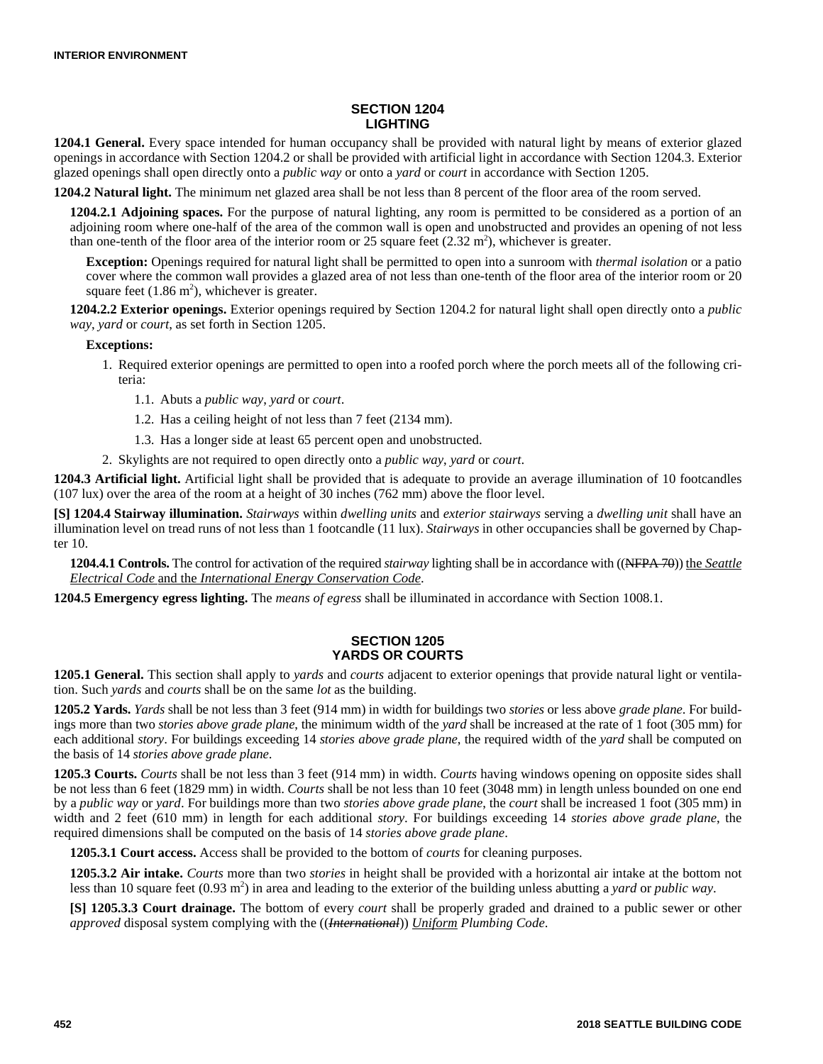# **SECTION 1204 LIGHTING**

**1204.1 General.** Every space intended for human occupancy shall be provided with natural light by means of exterior glazed openings in accordance with Section 1204.2 or shall be provided with artificial light in accordance with Section 1204.3. Exterior glazed openings shall open directly onto a *public way* or onto a *yard* or *court* in accordance with Section 1205.

**1204.2 Natural light.** The minimum net glazed area shall be not less than 8 percent of the floor area of the room served.

**1204.2.1 Adjoining spaces.** For the purpose of natural lighting, any room is permitted to be considered as a portion of an adjoining room where one-half of the area of the common wall is open and unobstructed and provides an opening of not less than one-tenth of the floor area of the interior room or 25 square feet  $(2.32 \text{ m}^2)$ , whichever is greater.

**Exception:** Openings required for natural light shall be permitted to open into a sunroom with *thermal isolation* or a patio cover where the common wall provides a glazed area of not less than one-tenth of the floor area of the interior room or 20 square feet  $(1.86 \text{ m}^2)$ , whichever is greater.

**1204.2.2 Exterior openings.** Exterior openings required by Section 1204.2 for natural light shall open directly onto a *public way*, *yard* or *court*, as set forth in Section 1205.

#### **Exceptions:**

- 1. Required exterior openings are permitted to open into a roofed porch where the porch meets all of the following criteria:
	- 1.1. Abuts a *public way*, *yard* or *court*.
	- 1.2. Has a ceiling height of not less than 7 feet (2134 mm).
	- 1.3. Has a longer side at least 65 percent open and unobstructed.
- 2. Skylights are not required to open directly onto a *public way*, *yard* or *court*.

**1204.3 Artificial light.** Artificial light shall be provided that is adequate to provide an average illumination of 10 footcandles (107 lux) over the area of the room at a height of 30 inches (762 mm) above the floor level.

**[S] 1204.4 Stairway illumination.** *Stairways* within *dwelling units* and *exterior stairways* serving a *dwelling unit* shall have an illumination level on tread runs of not less than 1 footcandle (11 lux). *Stairways* in other occupancies shall be governed by Chapter 10.

**1204.4.1 Controls.** The control for activation of the required *stairway* lighting shall be in accordance with ((NFPA 70)) the *Seattle Electrical Code* and the *International Energy Conservation Code*.

**1204.5 Emergency egress lighting.** The *means of egress* shall be illuminated in accordance with Section 1008.1.

## **SECTION 1205 YARDS OR COURTS**

**1205.1 General.** This section shall apply to *yards* and *courts* adjacent to exterior openings that provide natural light or ventilation. Such *yards* and *courts* shall be on the same *lot* as the building.

**1205.2 Yards.** *Yards* shall be not less than 3 feet (914 mm) in width for buildings two *stories* or less above *grade plane*. For buildings more than two *stories above grade plane*, the minimum width of the *yard* shall be increased at the rate of 1 foot (305 mm) for each additional *story*. For buildings exceeding 14 *stories above grade plane*, the required width of the *yard* shall be computed on the basis of 14 *stories above grade plane*.

**1205.3 Courts.** *Courts* shall be not less than 3 feet (914 mm) in width. *Courts* having windows opening on opposite sides shall be not less than 6 feet (1829 mm) in width. *Courts* shall be not less than 10 feet (3048 mm) in length unless bounded on one end by a *public way* or *yard*. For buildings more than two *stories above grade plane*, the *court* shall be increased 1 foot (305 mm) in width and 2 feet (610 mm) in length for each additional *story*. For buildings exceeding 14 *stories above grade plane*, the required dimensions shall be computed on the basis of 14 *stories above grade plane*.

**1205.3.1 Court access.** Access shall be provided to the bottom of *courts* for cleaning purposes.

**1205.3.2 Air intake.** *Courts* more than two *stories* in height shall be provided with a horizontal air intake at the bottom not less than 10 square feet (0.93 m<sup>2</sup>) in area and leading to the exterior of the building unless abutting a *yard* or *public way*.

**[S] 1205.3.3 Court drainage.** The bottom of every *court* shall be properly graded and drained to a public sewer or other *approved* disposal system complying with the ((*International*)) *Uniform Plumbing Code*.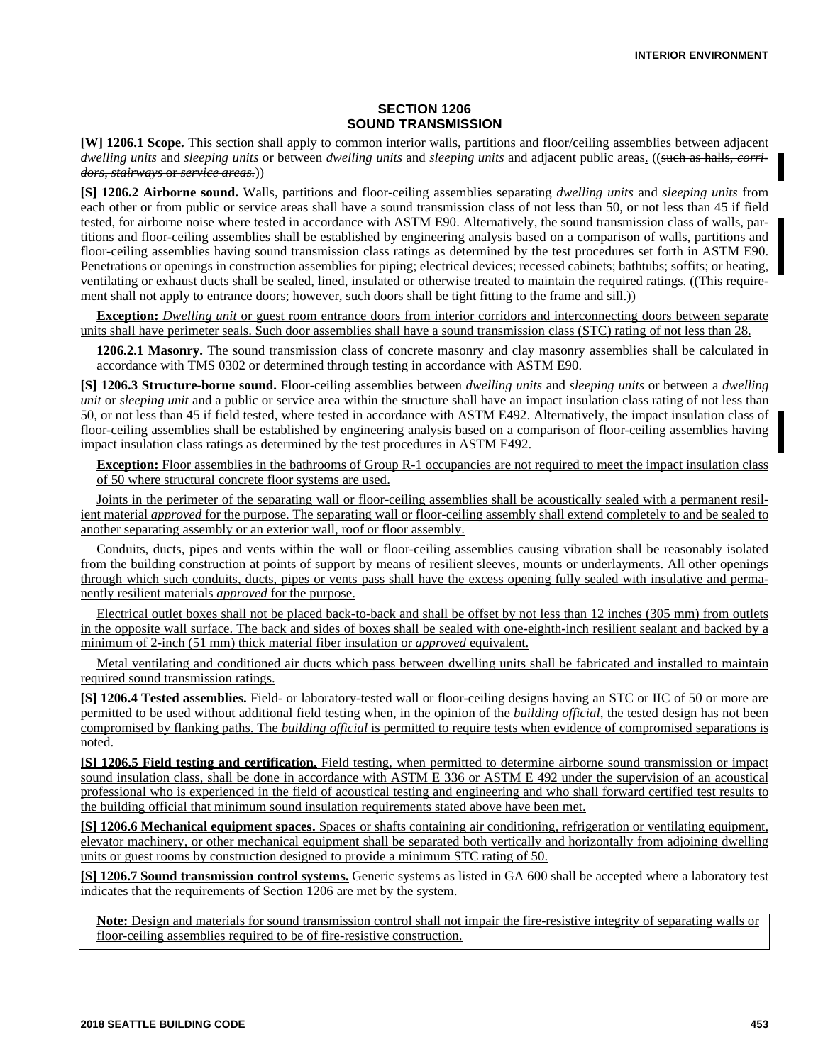## **SECTION 1206 SOUND TRANSMISSION**

**[W] 1206.1 Scope.** This section shall apply to common interior walls, partitions and floor/ceiling assemblies between adjacent *dwelling units* and *sleeping units* or between *dwelling units* and *sleeping units* and adjacent public areas. ((such as halls, *corridors*, *stairways* or *service areas.*))

**[S] 1206.2 Airborne sound.** Walls, partitions and floor-ceiling assemblies separating *dwelling units* and *sleeping units* from each other or from public or service areas shall have a sound transmission class of not less than 50, or not less than 45 if field tested, for airborne noise where tested in accordance with ASTM E90. Alternatively, the sound transmission class of walls, partitions and floor-ceiling assemblies shall be established by engineering analysis based on a comparison of walls, partitions and floor-ceiling assemblies having sound transmission class ratings as determined by the test procedures set forth in ASTM E90. Penetrations or openings in construction assemblies for piping; electrical devices; recessed cabinets; bathtubs; soffits; or heating, ventilating or exhaust ducts shall be sealed, lined, insulated or otherwise treated to maintain the required ratings. ((This requirement shall not apply to entrance doors; however, such doors shall be tight fitting to the frame and sill.))

**Exception:** *Dwelling unit* or guest room entrance doors from interior corridors and interconnecting doors between separate units shall have perimeter seals. Such door assemblies shall have a sound transmission class (STC) rating of not less than 28.

**1206.2.1 Masonry.** The sound transmission class of concrete masonry and clay masonry assemblies shall be calculated in accordance with TMS 0302 or determined through testing in accordance with ASTM E90.

**[S] 1206.3 Structure-borne sound.** Floor-ceiling assemblies between *dwelling units* and *sleeping units* or between a *dwelling unit* or *sleeping unit* and a public or service area within the structure shall have an impact insulation class rating of not less than 50, or not less than 45 if field tested, where tested in accordance with ASTM E492. Alternatively, the impact insulation class of floor-ceiling assemblies shall be established by engineering analysis based on a comparison of floor-ceiling assemblies having impact insulation class ratings as determined by the test procedures in ASTM E492.

**Exception:** Floor assemblies in the bathrooms of Group R-1 occupancies are not required to meet the impact insulation class of 50 where structural concrete floor systems are used.

Joints in the perimeter of the separating wall or floor-ceiling assemblies shall be acoustically sealed with a permanent resilient material *approved* for the purpose. The separating wall or floor-ceiling assembly shall extend completely to and be sealed to another separating assembly or an exterior wall, roof or floor assembly.

Conduits, ducts, pipes and vents within the wall or floor-ceiling assemblies causing vibration shall be reasonably isolated from the building construction at points of support by means of resilient sleeves, mounts or underlayments. All other openings through which such conduits, ducts, pipes or vents pass shall have the excess opening fully sealed with insulative and permanently resilient materials *approved* for the purpose.

Electrical outlet boxes shall not be placed back-to-back and shall be offset by not less than 12 inches (305 mm) from outlets in the opposite wall surface. The back and sides of boxes shall be sealed with one-eighth-inch resilient sealant and backed by a minimum of 2-inch (51 mm) thick material fiber insulation or *approved* equivalent.

Metal ventilating and conditioned air ducts which pass between dwelling units shall be fabricated and installed to maintain required sound transmission ratings.

**[S] 1206.4 Tested assemblies.** Field- or laboratory-tested wall or floor-ceiling designs having an STC or IIC of 50 or more are permitted to be used without additional field testing when, in the opinion of the *building official*, the tested design has not been compromised by flanking paths. The *building official* is permitted to require tests when evidence of compromised separations is noted.

**[S] 1206.5 Field testing and certification.** Field testing, when permitted to determine airborne sound transmission or impact sound insulation class, shall be done in accordance with ASTM E 336 or ASTM E 492 under the supervision of an acoustical professional who is experienced in the field of acoustical testing and engineering and who shall forward certified test results to the building official that minimum sound insulation requirements stated above have been met.

**[S] 1206.6 Mechanical equipment spaces.** Spaces or shafts containing air conditioning, refrigeration or ventilating equipment, elevator machinery, or other mechanical equipment shall be separated both vertically and horizontally from adjoining dwelling units or guest rooms by construction designed to provide a minimum STC rating of 50.

**[S] 1206.7 Sound transmission control systems.** Generic systems as listed in GA 600 shall be accepted where a laboratory test indicates that the requirements of Section 1206 are met by the system.

**Note:** Design and materials for sound transmission control shall not impair the fire-resistive integrity of separating walls or floor-ceiling assemblies required to be of fire-resistive construction.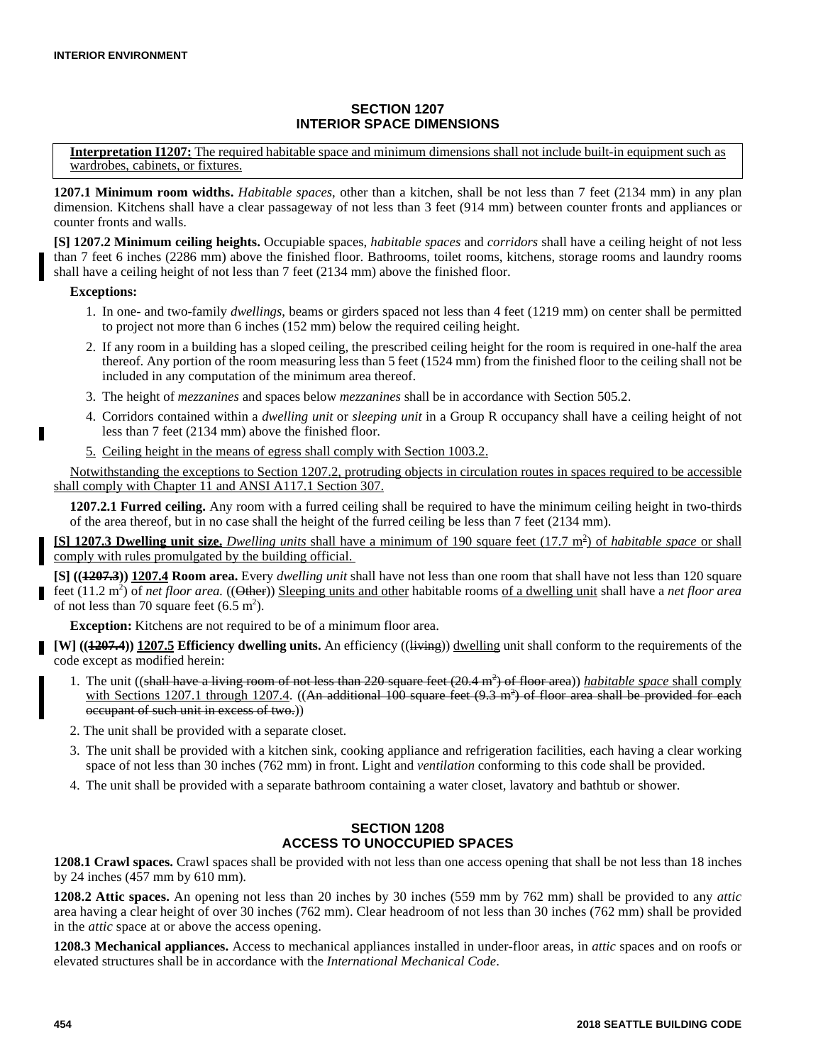## **SECTION 1207 INTERIOR SPACE DIMENSIONS**

**Interpretation I1207:** The required habitable space and minimum dimensions shall not include built-in equipment such as wardrobes, cabinets, or fixtures.

**1207.1 Minimum room widths.** *Habitable spaces*, other than a kitchen, shall be not less than 7 feet (2134 mm) in any plan dimension. Kitchens shall have a clear passageway of not less than 3 feet (914 mm) between counter fronts and appliances or counter fronts and walls.

**[S] 1207.2 Minimum ceiling heights.** Occupiable spaces, *habitable spaces* and *corridors* shall have a ceiling height of not less than 7 feet 6 inches (2286 mm) above the finished floor. Bathrooms, toilet rooms, kitchens, storage rooms and laundry rooms shall have a ceiling height of not less than 7 feet (2134 mm) above the finished floor.

### **Exceptions:**

Г

- 1. In one- and two-family *dwellings*, beams or girders spaced not less than 4 feet (1219 mm) on center shall be permitted to project not more than 6 inches (152 mm) below the required ceiling height.
- 2. If any room in a building has a sloped ceiling, the prescribed ceiling height for the room is required in one-half the area thereof. Any portion of the room measuring less than 5 feet (1524 mm) from the finished floor to the ceiling shall not be included in any computation of the minimum area thereof.
- 3. The height of *mezzanines* and spaces below *mezzanines* shall be in accordance with Section 505.2.
- 4. Corridors contained within a *dwelling unit* or *sleeping unit* in a Group R occupancy shall have a ceiling height of not less than 7 feet (2134 mm) above the finished floor.
- 5. Ceiling height in the means of egress shall comply with Section 1003.2.

Notwithstanding the exceptions to Section 1207.2, protruding objects in circulation routes in spaces required to be accessible shall comply with Chapter 11 and ANSI A117.1 Section 307.

**1207.2.1 Furred ceiling.** Any room with a furred ceiling shall be required to have the minimum ceiling height in two-thirds of the area thereof, but in no case shall the height of the furred ceiling be less than 7 feet (2134 mm).

**[S] 1207.3 Dwelling unit size.** *Dwelling units* shall have a minimum of 190 square feet (17.7 m<sup>2</sup>) of *habitable space* or shall comply with rules promulgated by the building official.

**[S] ((1207.3)) 1207.4 Room area.** Every *dwelling unit* shall have not less than one room that shall have not less than 120 square feet (11.2 m<sup>2</sup>) of *net floor area.* ((Other)) Sleeping units and other habitable rooms of a dwelling unit shall have a *net floor area* of not less than 70 square feet  $(6.5 \text{ m}^2)$ .

**Exception:** Kitchens are not required to be of a minimum floor area.

**[W]** ((4207.4)) 1207.5 Efficiency dwelling units. An efficiency ((l<del>iving</del>)) dwelling unit shall conform to the requirements of the code except as modified herein:

- 1. The unit ((shall have a living room of not less than 220 square feet (20.4 m<sup>2</sup>) of floor area)) *habitable space* shall comply with Sections 1207.1 through 1207.4.  $((An additional 100 square feet (9.3 m<sup>2</sup>) of floor area shall be provided for each$ occupant of such unit in excess of two.))
- 2. The unit shall be provided with a separate closet.
- 3. The unit shall be provided with a kitchen sink, cooking appliance and refrigeration facilities, each having a clear working space of not less than 30 inches (762 mm) in front. Light and *ventilation* conforming to this code shall be provided.
- 4. The unit shall be provided with a separate bathroom containing a water closet, lavatory and bathtub or shower.

## **SECTION 1208 ACCESS TO UNOCCUPIED SPACES**

**1208.1 Crawl spaces.** Crawl spaces shall be provided with not less than one access opening that shall be not less than 18 inches by 24 inches (457 mm by 610 mm).

**1208.2 Attic spaces.** An opening not less than 20 inches by 30 inches (559 mm by 762 mm) shall be provided to any *attic* area having a clear height of over 30 inches (762 mm). Clear headroom of not less than 30 inches (762 mm) shall be provided in the *attic* space at or above the access opening.

**1208.3 Mechanical appliances.** Access to mechanical appliances installed in under-floor areas, in *attic* spaces and on roofs or elevated structures shall be in accordance with the *International Mechanical Code*.